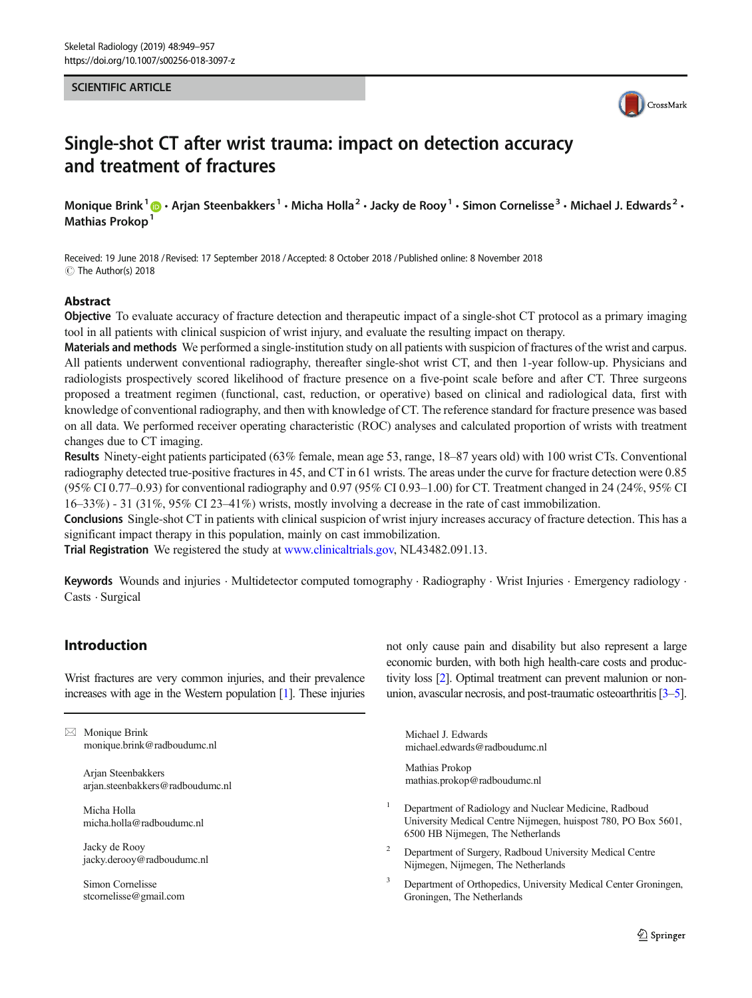### SCIENTIFIC ARTICLE



# Single-shot CT after wrist trauma: impact on detection accuracy and treatment of fractures

Monique Brink<sup>1</sup>  $\cdot$  Arjan Steenbakkers<sup>1</sup>  $\cdot$  Micha Holla<sup>2</sup>  $\cdot$  Jacky de Rooy<sup>1</sup>  $\cdot$  Simon Cornelisse<sup>3</sup>  $\cdot$  Michael J. Edwards<sup>2</sup>  $\cdot$ Mathias Prokop<sup>[1](http://orcid.org/0000-0002-4146-1052)</sup>

Received: 19 June 2018 / Revised: 17 September 2018 /Accepted: 8 October 2018 /Published online: 8 November 2018  $\circledcirc$  The Author(s) 2018

#### Abstract

Objective To evaluate accuracy of fracture detection and therapeutic impact of a single-shot CT protocol as a primary imaging tool in all patients with clinical suspicion of wrist injury, and evaluate the resulting impact on therapy.

Materials and methods We performed a single-institution study on all patients with suspicion of fractures of the wrist and carpus. All patients underwent conventional radiography, thereafter single-shot wrist CT, and then 1-year follow-up. Physicians and radiologists prospectively scored likelihood of fracture presence on a five-point scale before and after CT. Three surgeons proposed a treatment regimen (functional, cast, reduction, or operative) based on clinical and radiological data, first with knowledge of conventional radiography, and then with knowledge of CT. The reference standard for fracture presence was based on all data. We performed receiver operating characteristic (ROC) analyses and calculated proportion of wrists with treatment changes due to CT imaging.

Results Ninety-eight patients participated (63% female, mean age 53, range, 18–87 years old) with 100 wrist CTs. Conventional radiography detected true-positive fractures in 45, and CT in 61 wrists. The areas under the curve for fracture detection were 0.85 (95% CI 0.77–0.93) for conventional radiography and 0.97 (95% CI 0.93–1.00) for CT. Treatment changed in 24 (24%, 95% CI 16–33%) - 31 (31%, 95% CI 23–41%) wrists, mostly involving a decrease in the rate of cast immobilization.

Conclusions Single-shot CT in patients with clinical suspicion of wrist injury increases accuracy of fracture detection. This has a significant impact therapy in this population, mainly on cast immobilization.

Trial Registration We registered the study at [www.clinicaltrials.gov,](http://www.clinicaltrials.gov) NL43482.091.13.

Keywords Wounds and injuries . Multidetector computed tomography . Radiography . Wrist Injuries . Emergency radiology . Casts . Surgical

# Introduction

Wrist fractures are very common injuries, and their prevalence increases with age in the Western population [\[1\]](#page-8-0). These injuries

 $\boxtimes$  Monique Brink [monique.brink@radboudumc.nl](mailto:monique.brink@radboudumc.nl)

> Arjan Steenbakkers arjan.steenbakkers@radboudumc.nl

Micha Holla micha.holla@radboudumc.nl

Jacky de Rooy jacky.derooy@radboudumc.nl

Simon Cornelisse stcornelisse@gmail.com not only cause pain and disability but also represent a large economic burden, with both high health-care costs and productivity loss [\[2\]](#page-8-0). Optimal treatment can prevent malunion or nonunion, avascular necrosis, and post-traumatic osteoarthritis [\[3](#page-8-0)–[5\]](#page-8-0).

Michael J. Edwards michael.edwards@radboudumc.nl

Mathias Prokop mathias.prokop@radboudumc.nl

- <sup>1</sup> Department of Radiology and Nuclear Medicine, Radboud University Medical Centre Nijmegen, huispost 780, PO Box 5601, 6500 HB Nijmegen, The Netherlands
- <sup>2</sup> Department of Surgery, Radboud University Medical Centre Nijmegen, Nijmegen, The Netherlands
- Department of Orthopedics, University Medical Center Groningen, Groningen, The Netherlands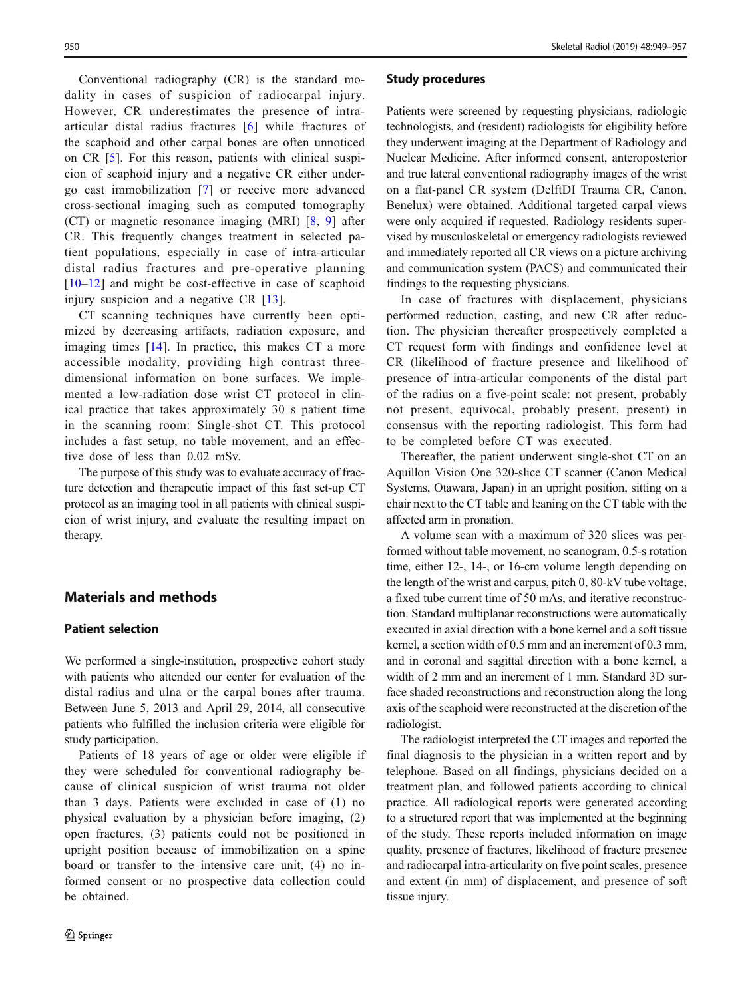Conventional radiography (CR) is the standard mo-Study procedures

dality in cases of suspicion of radiocarpal injury. However, CR underestimates the presence of intraarticular distal radius fractures [[6](#page-8-0)] while fractures of the scaphoid and other carpal bones are often unnoticed on CR [[5\]](#page-8-0). For this reason, patients with clinical suspicion of scaphoid injury and a negative CR either undergo cast immobilization [\[7](#page-8-0)] or receive more advanced cross-sectional imaging such as computed tomography (CT) or magnetic resonance imaging (MRI) [[8,](#page-8-0) [9\]](#page-8-0) after CR. This frequently changes treatment in selected patient populations, especially in case of intra-articular distal radius fractures and pre-operative planning [\[10](#page-8-0)–[12\]](#page-8-0) and might be cost-effective in case of scaphoid injury suspicion and a negative CR [[13\]](#page-8-0).

CT scanning techniques have currently been optimized by decreasing artifacts, radiation exposure, and imaging times [[14](#page-8-0)]. In practice, this makes CT a more accessible modality, providing high contrast threedimensional information on bone surfaces. We implemented a low-radiation dose wrist CT protocol in clinical practice that takes approximately 30 s patient time in the scanning room: Single-shot CT. This protocol includes a fast setup, no table movement, and an effective dose of less than 0.02 mSv.

The purpose of this study was to evaluate accuracy of fracture detection and therapeutic impact of this fast set-up CT protocol as an imaging tool in all patients with clinical suspicion of wrist injury, and evaluate the resulting impact on therapy.

# Materials and methods

## Patient selection

We performed a single-institution, prospective cohort study with patients who attended our center for evaluation of the distal radius and ulna or the carpal bones after trauma. Between June 5, 2013 and April 29, 2014, all consecutive patients who fulfilled the inclusion criteria were eligible for study participation.

Patients of 18 years of age or older were eligible if they were scheduled for conventional radiography because of clinical suspicion of wrist trauma not older than 3 days. Patients were excluded in case of (1) no physical evaluation by a physician before imaging, (2) open fractures, (3) patients could not be positioned in upright position because of immobilization on a spine board or transfer to the intensive care unit, (4) no informed consent or no prospective data collection could be obtained.

Patients were screened by requesting physicians, radiologic technologists, and (resident) radiologists for eligibility before they underwent imaging at the Department of Radiology and Nuclear Medicine. After informed consent, anteroposterior and true lateral conventional radiography images of the wrist on a flat-panel CR system (DelftDI Trauma CR, Canon, Benelux) were obtained. Additional targeted carpal views were only acquired if requested. Radiology residents supervised by musculoskeletal or emergency radiologists reviewed and immediately reported all CR views on a picture archiving and communication system (PACS) and communicated their findings to the requesting physicians.

In case of fractures with displacement, physicians performed reduction, casting, and new CR after reduction. The physician thereafter prospectively completed a CT request form with findings and confidence level at CR (likelihood of fracture presence and likelihood of presence of intra-articular components of the distal part of the radius on a five-point scale: not present, probably not present, equivocal, probably present, present) in consensus with the reporting radiologist. This form had to be completed before CT was executed.

Thereafter, the patient underwent single-shot CT on an Aquillon Vision One 320-slice CT scanner (Canon Medical Systems, Otawara, Japan) in an upright position, sitting on a chair next to the CT table and leaning on the CT table with the affected arm in pronation.

A volume scan with a maximum of 320 slices was performed without table movement, no scanogram, 0.5-s rotation time, either 12-, 14-, or 16-cm volume length depending on the length of the wrist and carpus, pitch 0, 80-kV tube voltage, a fixed tube current time of 50 mAs, and iterative reconstruction. Standard multiplanar reconstructions were automatically executed in axial direction with a bone kernel and a soft tissue kernel, a section width of 0.5 mm and an increment of 0.3 mm, and in coronal and sagittal direction with a bone kernel, a width of 2 mm and an increment of 1 mm. Standard 3D surface shaded reconstructions and reconstruction along the long axis of the scaphoid were reconstructed at the discretion of the radiologist.

The radiologist interpreted the CT images and reported the final diagnosis to the physician in a written report and by telephone. Based on all findings, physicians decided on a treatment plan, and followed patients according to clinical practice. All radiological reports were generated according to a structured report that was implemented at the beginning of the study. These reports included information on image quality, presence of fractures, likelihood of fracture presence and radiocarpal intra-articularity on five point scales, presence and extent (in mm) of displacement, and presence of soft tissue injury.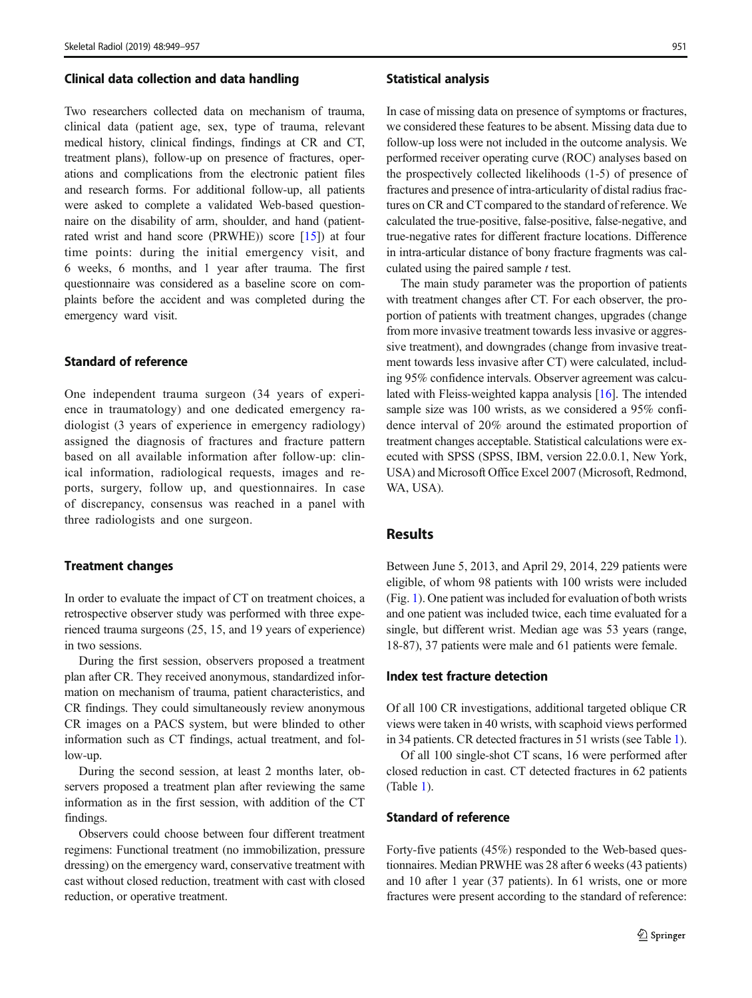#### Clinical data collection and data handling

Two researchers collected data on mechanism of trauma, clinical data (patient age, sex, type of trauma, relevant medical history, clinical findings, findings at CR and CT, treatment plans), follow-up on presence of fractures, operations and complications from the electronic patient files and research forms. For additional follow-up, all patients were asked to complete a validated Web-based questionnaire on the disability of arm, shoulder, and hand (patientrated wrist and hand score (PRWHE)) score [\[15\]](#page-8-0)) at four time points: during the initial emergency visit, and 6 weeks, 6 months, and 1 year after trauma. The first questionnaire was considered as a baseline score on complaints before the accident and was completed during the emergency ward visit.

#### Standard of reference

One independent trauma surgeon (34 years of experience in traumatology) and one dedicated emergency radiologist (3 years of experience in emergency radiology) assigned the diagnosis of fractures and fracture pattern based on all available information after follow-up: clinical information, radiological requests, images and reports, surgery, follow up, and questionnaires. In case of discrepancy, consensus was reached in a panel with three radiologists and one surgeon.

#### Treatment changes

In order to evaluate the impact of CT on treatment choices, a retrospective observer study was performed with three experienced trauma surgeons (25, 15, and 19 years of experience) in two sessions.

During the first session, observers proposed a treatment plan after CR. They received anonymous, standardized information on mechanism of trauma, patient characteristics, and CR findings. They could simultaneously review anonymous CR images on a PACS system, but were blinded to other information such as CT findings, actual treatment, and follow-up.

During the second session, at least 2 months later, observers proposed a treatment plan after reviewing the same information as in the first session, with addition of the CT findings.

Observers could choose between four different treatment regimens: Functional treatment (no immobilization, pressure dressing) on the emergency ward, conservative treatment with cast without closed reduction, treatment with cast with closed reduction, or operative treatment.

#### Statistical analysis

In case of missing data on presence of symptoms or fractures, we considered these features to be absent. Missing data due to follow-up loss were not included in the outcome analysis. We performed receiver operating curve (ROC) analyses based on the prospectively collected likelihoods (1-5) of presence of fractures and presence of intra-articularity of distal radius fractures on CR and CT compared to the standard of reference. We calculated the true-positive, false-positive, false-negative, and true-negative rates for different fracture locations. Difference in intra-articular distance of bony fracture fragments was calculated using the paired sample  $t$  test.

The main study parameter was the proportion of patients with treatment changes after CT. For each observer, the proportion of patients with treatment changes, upgrades (change from more invasive treatment towards less invasive or aggressive treatment), and downgrades (change from invasive treatment towards less invasive after CT) were calculated, including 95% confidence intervals. Observer agreement was calculated with Fleiss-weighted kappa analysis [[16](#page-8-0)]. The intended sample size was 100 wrists, as we considered a 95% confidence interval of 20% around the estimated proportion of treatment changes acceptable. Statistical calculations were executed with SPSS (SPSS, IBM, version 22.0.0.1, New York, USA) and Microsoft Office Excel 2007 (Microsoft, Redmond, WA, USA).

## Results

Between June 5, 2013, and April 29, 2014, 229 patients were eligible, of whom 98 patients with 100 wrists were included (Fig. [1](#page-3-0)). One patient was included for evaluation of both wrists and one patient was included twice, each time evaluated for a single, but different wrist. Median age was 53 years (range, 18-87), 37 patients were male and 61 patients were female.

## Index test fracture detection

Of all 100 CR investigations, additional targeted oblique CR views were taken in 40 wrists, with scaphoid views performed in 34 patients. CR detected fractures in 51 wrists (see Table [1\)](#page-3-0).

Of all 100 single-shot CT scans, 16 were performed after closed reduction in cast. CT detected fractures in 62 patients (Table [1](#page-3-0)).

## Standard of reference

Forty-five patients (45%) responded to the Web-based questionnaires. Median PRWHE was 28 after 6 weeks (43 patients) and 10 after 1 year (37 patients). In 61 wrists, one or more fractures were present according to the standard of reference: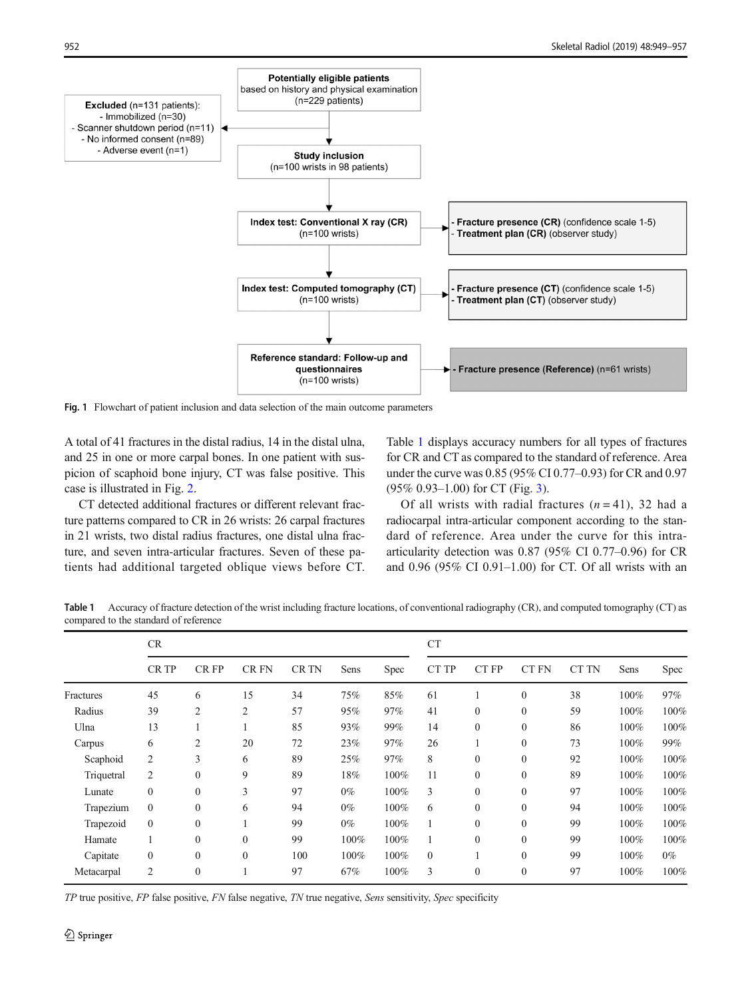<span id="page-3-0"></span>

Fig. 1 Flowchart of patient inclusion and data selection of the main outcome parameters

A total of 41 fractures in the distal radius, 14 in the distal ulna, and 25 in one or more carpal bones. In one patient with suspicion of scaphoid bone injury, CT was false positive. This case is illustrated in Fig. [2](#page-4-0).

CT detected additional fractures or different relevant fracture patterns compared to CR in 26 wrists: 26 carpal fractures in 21 wrists, two distal radius fractures, one distal ulna fracture, and seven intra-articular fractures. Seven of these patients had additional targeted oblique views before CT.

Table 1 displays accuracy numbers for all types of fractures for CR and CT as compared to the standard of reference. Area under the curve was 0.85 (95% CI 0.77–0.93) for CR and 0.97 (95% 0.93–1.00) for CT (Fig. [3\)](#page-4-0).

Of all wrists with radial fractures  $(n = 41)$ , 32 had a radiocarpal intra-articular component according to the standard of reference. Area under the curve for this intraarticularity detection was 0.87 (95% CI 0.77–0.96) for CR and 0.96 (95% CI 0.91–1.00) for CT. Of all wrists with an

Table 1 Accuracy of fracture detection of the wrist including fracture locations, of conventional radiography (CR), and computed tomography (CT) as compared to the standard of reference

|            | <b>CR</b>        |                |              |       | CT    |      |              |              |                  |       |      |       |
|------------|------------------|----------------|--------------|-------|-------|------|--------------|--------------|------------------|-------|------|-------|
|            | CR TP            | CR FP          | CR FN        | CR TN | Sens  | Spec | CT TP        | CT FP        | CT FN            | CT TN | Sens | Spec  |
| Fractures  | 45               | 6              | 15           | 34    | 75%   | 85%  | 61           |              | $\overline{0}$   | 38    | 100% | 97%   |
| Radius     | 39               | $\mathfrak{2}$ | 2            | 57    | 95%   | 97%  | 41           | $\mathbf{0}$ | $\mathbf{0}$     | 59    | 100% | 100%  |
| Ulna       | 13               |                |              | 85    | 93%   | 99%  | 14           | $\theta$     | $\boldsymbol{0}$ | 86    | 100% | 100%  |
| Carpus     | 6                | 2              | 20           | 72    | 23%   | 97%  | 26           |              | $\boldsymbol{0}$ | 73    | 100% | 99%   |
| Scaphoid   | 2                | 3              | 6            | 89    | 25%   | 97%  | 8            | $\theta$     | $\boldsymbol{0}$ | 92    | 100% | 100%  |
| Triquetral | 2                | $\mathbf{0}$   | 9            | 89    | 18%   | 100% | 11           | $\theta$     | $\mathbf{0}$     | 89    | 100% | 100%  |
| Lunate     | $\mathbf{0}$     | $\mathbf{0}$   | 3            | 97    | $0\%$ | 100% | 3            | $\mathbf{0}$ | $\boldsymbol{0}$ | 97    | 100% | 100%  |
| Trapezium  | $\mathbf{0}$     | $\theta$       | 6            | 94    | $0\%$ | 100% | 6            | $\theta$     | $\theta$         | 94    | 100% | 100%  |
| Trapezoid  | $\mathbf{0}$     | $\mathbf{0}$   |              | 99    | $0\%$ | 100% |              | $\mathbf{0}$ | $\boldsymbol{0}$ | 99    | 100% | 100%  |
| Hamate     | $\mathbf{1}$     | $\mathbf{0}$   | $\mathbf{0}$ | 99    | 100%  | 100% |              | $\theta$     | $\boldsymbol{0}$ | 99    | 100% | 100%  |
| Capitate   | $\boldsymbol{0}$ | $\mathbf{0}$   | $\mathbf{0}$ | 100   | 100%  | 100% | $\mathbf{0}$ |              | $\overline{0}$   | 99    | 100% | $0\%$ |
| Metacarpal | 2                | $\mathbf{0}$   |              | 97    | 67%   | 100% | 3            | $\mathbf{0}$ | $\overline{0}$   | 97    | 100% | 100%  |

TP true positive, FP false positive, FN false negative, TN true negative, Sens sensitivity, Spec specificity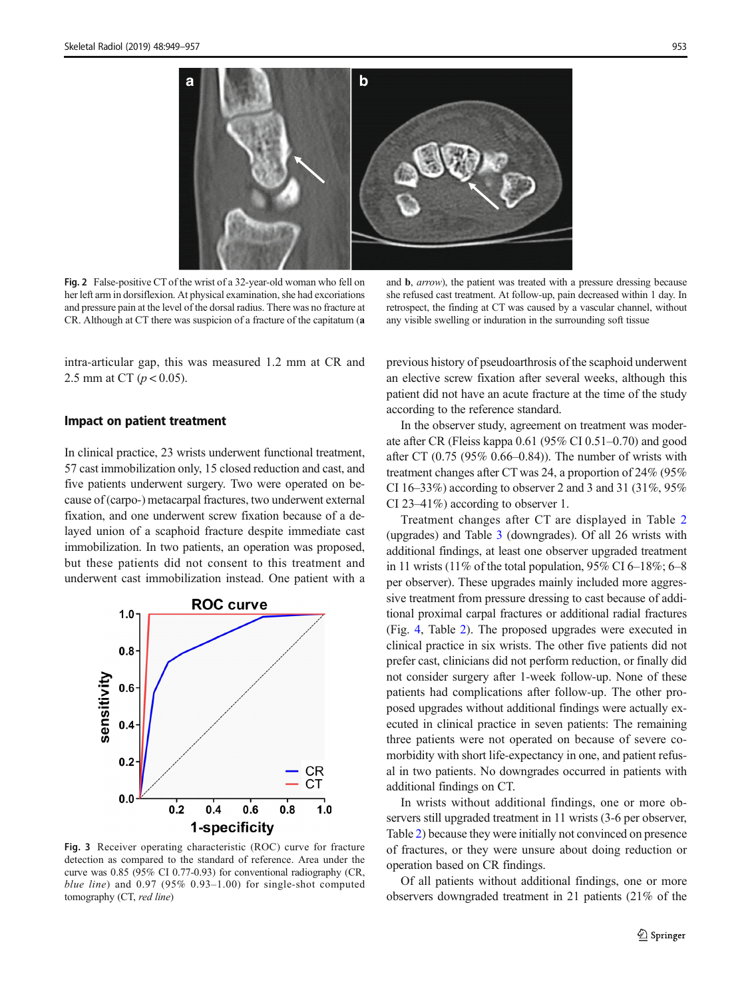<span id="page-4-0"></span>

Fig. 2 False-positive CT of the wrist of a 32-year-old woman who fell on her left arm in dorsiflexion. At physical examination, she had excoriations and pressure pain at the level of the dorsal radius. There was no fracture at CR. Although at CT there was suspicion of a fracture of the capitatum (a

intra-articular gap, this was measured 1.2 mm at CR and 2.5 mm at CT ( $p < 0.05$ ).

#### Impact on patient treatment

In clinical practice, 23 wrists underwent functional treatment, 57 cast immobilization only, 15 closed reduction and cast, and five patients underwent surgery. Two were operated on because of (carpo-) metacarpal fractures, two underwent external fixation, and one underwent screw fixation because of a delayed union of a scaphoid fracture despite immediate cast immobilization. In two patients, an operation was proposed, but these patients did not consent to this treatment and underwent cast immobilization instead. One patient with a



Fig. 3 Receiver operating characteristic (ROC) curve for fracture detection as compared to the standard of reference. Area under the curve was 0.85 (95% CI 0.77-0.93) for conventional radiography (CR, blue line) and  $0.97$  (95%  $0.93-1.00$ ) for single-shot computed tomography (CT, red line)

and b, arrow), the patient was treated with a pressure dressing because she refused cast treatment. At follow-up, pain decreased within 1 day. In retrospect, the finding at CT was caused by a vascular channel, without any visible swelling or induration in the surrounding soft tissue

previous history of pseudoarthrosis of the scaphoid underwent an elective screw fixation after several weeks, although this patient did not have an acute fracture at the time of the study according to the reference standard.

In the observer study, agreement on treatment was moderate after CR (Fleiss kappa 0.61 (95% CI 0.51–0.70) and good after CT (0.75 (95% 0.66–0.84)). The number of wrists with treatment changes after CT was 24, a proportion of 24% (95% CI 16–33%) according to observer 2 and 3 and 31 (31%, 95% CI 23–41%) according to observer 1.

Treatment changes after CT are displayed in Table [2](#page-5-0) (upgrades) and Table [3](#page-5-0) (downgrades). Of all 26 wrists with additional findings, at least one observer upgraded treatment in 11 wrists (11% of the total population,  $95\%$  CI 6–18%; 6–8 per observer). These upgrades mainly included more aggressive treatment from pressure dressing to cast because of additional proximal carpal fractures or additional radial fractures (Fig. [4](#page-6-0), Table [2](#page-5-0)). The proposed upgrades were executed in clinical practice in six wrists. The other five patients did not prefer cast, clinicians did not perform reduction, or finally did not consider surgery after 1-week follow-up. None of these patients had complications after follow-up. The other proposed upgrades without additional findings were actually executed in clinical practice in seven patients: The remaining three patients were not operated on because of severe comorbidity with short life-expectancy in one, and patient refusal in two patients. No downgrades occurred in patients with additional findings on CT.

In wrists without additional findings, one or more observers still upgraded treatment in 11 wrists (3-6 per observer, Table [2](#page-5-0)) because they were initially not convinced on presence of fractures, or they were unsure about doing reduction or operation based on CR findings.

Of all patients without additional findings, one or more observers downgraded treatment in 21 patients (21% of the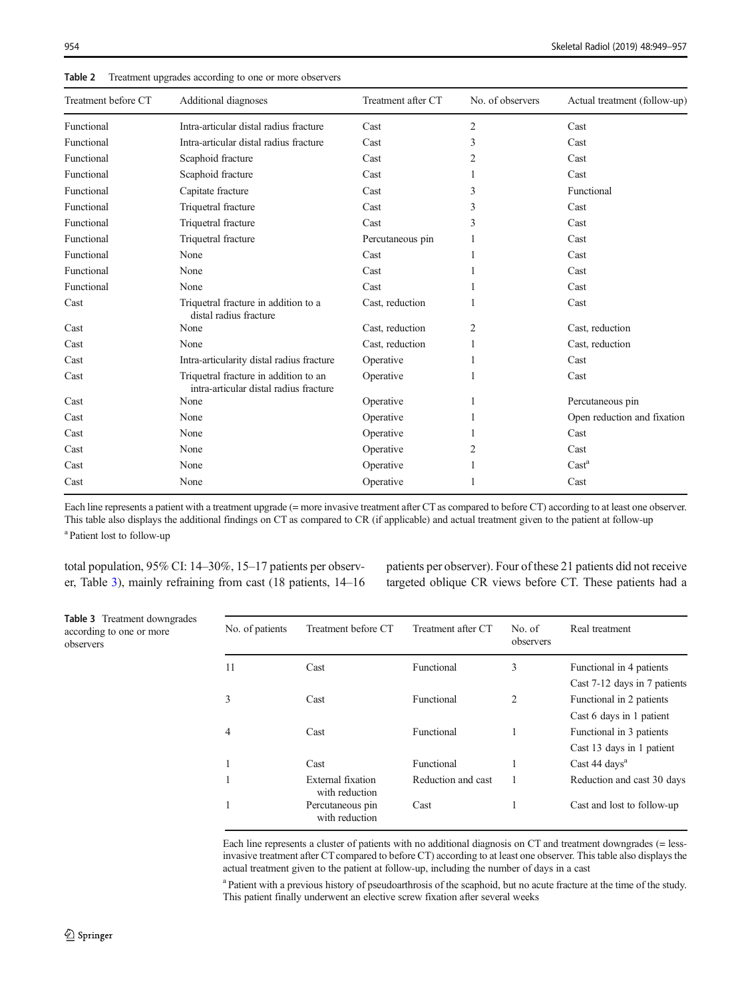| Treatment before CT | Additional diagnoses                                                            | Treatment after CT | No. of observers | Actual treatment (follow-up) |
|---------------------|---------------------------------------------------------------------------------|--------------------|------------------|------------------------------|
| Functional          | Intra-articular distal radius fracture                                          | Cast               | 2                | Cast                         |
| Functional          | Intra-articular distal radius fracture                                          | Cast               | 3                | Cast                         |
| Functional          | Scaphoid fracture                                                               | Cast               | 2                | Cast                         |
| Functional          | Scaphoid fracture                                                               | Cast               |                  | Cast                         |
| Functional          | Capitate fracture                                                               | Cast               | 3                | Functional                   |
| Functional          | Triquetral fracture                                                             | Cast               | 3                | Cast                         |
| Functional          | Triquetral fracture                                                             | Cast               | 3                | Cast                         |
| Functional          | Triquetral fracture                                                             | Percutaneous pin   |                  | Cast                         |
| Functional          | None                                                                            | Cast               |                  | Cast                         |
| Functional          | None                                                                            | Cast               |                  | Cast                         |
| Functional          | None                                                                            | Cast               |                  | Cast                         |
| Cast                | Triquetral fracture in addition to a<br>distal radius fracture                  | Cast, reduction    |                  | Cast                         |
| Cast                | None                                                                            | Cast, reduction    | 2                | Cast, reduction              |
| Cast                | None                                                                            | Cast, reduction    |                  | Cast, reduction              |
| Cast                | Intra-articularity distal radius fracture                                       | Operative          |                  | Cast                         |
| Cast                | Triquetral fracture in addition to an<br>intra-articular distal radius fracture | Operative          |                  | Cast                         |
| Cast                | None                                                                            | Operative          |                  | Percutaneous pin             |
| Cast                | None                                                                            | Operative          |                  | Open reduction and fixation  |
| Cast                | None                                                                            | Operative          |                  | Cast                         |
| Cast                | None                                                                            | Operative          | 2                | Cast                         |
| Cast                | None                                                                            | Operative          |                  | $\text{Cast}^a$              |
| Cast                | None                                                                            | Operative          |                  | Cast                         |

<span id="page-5-0"></span>

| Table 2<br>Treatment upgrades according to one or more observers |  |
|------------------------------------------------------------------|--|
|------------------------------------------------------------------|--|

Each line represents a patient with a treatment upgrade (= more invasive treatment after CT as compared to before CT) according to at least one observer. This table also displays the additional findings on CT as compared to CR (if applicable) and actual treatment given to the patient at follow-up <sup>a</sup> Patient lost to follow-up

total population, 95% CI: 14–30%, 15–17 patients per observer, Table 3), mainly refraining from cast (18 patients, 14–16

Table 3 Treatment downgrades according to one or more

observers

patients per observer). Four of these 21 patients did not receive targeted oblique CR views before CT. These patients had a

| No. of patients | Treatment before CT                 | Treatment after CT | No. of<br>observers | Real treatment               |
|-----------------|-------------------------------------|--------------------|---------------------|------------------------------|
| 11              | Cast                                | Functional         | 3                   | Functional in 4 patients     |
|                 |                                     |                    |                     | Cast 7-12 days in 7 patients |
| 3               | Cast                                | Functional         | $\overline{2}$      | Functional in 2 patients     |
|                 |                                     |                    |                     | Cast 6 days in 1 patient     |
| 4               | Cast                                | Functional         | ш                   | Functional in 3 patients     |
|                 |                                     |                    |                     | Cast 13 days in 1 patient    |
|                 | Cast                                | Functional         |                     | Cast $44 \text{ days}^a$     |
|                 | External fixation<br>with reduction | Reduction and cast |                     | Reduction and cast 30 days   |
|                 | Percutaneous pin<br>with reduction  | Cast               |                     | Cast and lost to follow-up   |

Each line represents a cluster of patients with no additional diagnosis on CT and treatment downgrades (= lessinvasive treatment after CT compared to before CT) according to at least one observer. This table also displays the actual treatment given to the patient at follow-up, including the number of days in a cast

<sup>a</sup> Patient with a previous history of pseudoarthrosis of the scaphoid, but no acute fracture at the time of the study. This patient finally underwent an elective screw fixation after several weeks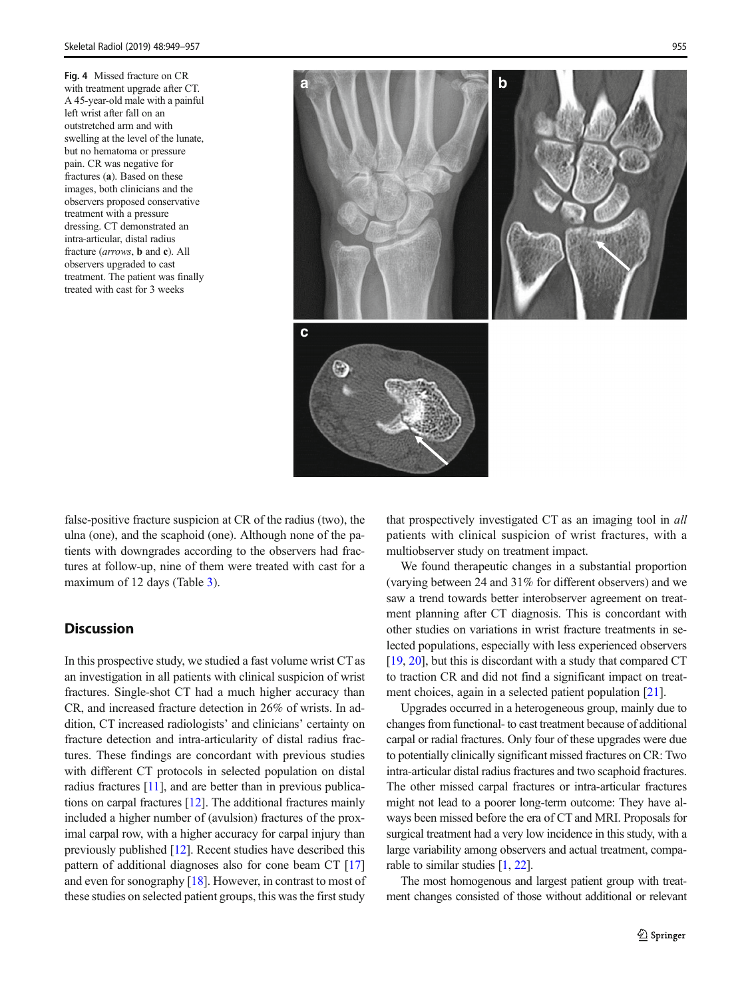with treatment upgrade after CT. A 45-year-old male with a painful left wrist after fall on an outstretched arm and with swelling at the level of the lunate, but no hematoma or pressure pain. CR was negative for fractures (a). Based on these images, both clinicians and the observers proposed conservative treatment with a pressure dressing. CT demonstrated an intra-articular, distal radius fracture (arrows, b and c). All observers upgraded to cast treatment. The patient was finally treated with cast for 3 weeks

<span id="page-6-0"></span>

false-positive fracture suspicion at CR of the radius (two), the ulna (one), and the scaphoid (one). Although none of the patients with downgrades according to the observers had fractures at follow-up, nine of them were treated with cast for a maximum of 12 days (Table [3\)](#page-5-0).

## **Discussion**

In this prospective study, we studied a fast volume wrist CT as an investigation in all patients with clinical suspicion of wrist fractures. Single-shot CT had a much higher accuracy than CR, and increased fracture detection in 26% of wrists. In addition, CT increased radiologists' and clinicians' certainty on fracture detection and intra-articularity of distal radius fractures. These findings are concordant with previous studies with different CT protocols in selected population on distal radius fractures [\[11](#page-8-0)], and are better than in previous publications on carpal fractures [[12](#page-8-0)]. The additional fractures mainly included a higher number of (avulsion) fractures of the proximal carpal row, with a higher accuracy for carpal injury than previously published [[12\]](#page-8-0). Recent studies have described this pattern of additional diagnoses also for cone beam CT [\[17\]](#page-8-0) and even for sonography [\[18](#page-8-0)]. However, in contrast to most of these studies on selected patient groups, this was the first study

that prospectively investigated CT as an imaging tool in all patients with clinical suspicion of wrist fractures, with a multiobserver study on treatment impact.

We found therapeutic changes in a substantial proportion (varying between 24 and 31% for different observers) and we saw a trend towards better interobserver agreement on treatment planning after CT diagnosis. This is concordant with other studies on variations in wrist fracture treatments in selected populations, especially with less experienced observers [\[19](#page-8-0), [20\]](#page-8-0), but this is discordant with a study that compared CT to traction CR and did not find a significant impact on treatment choices, again in a selected patient population [[21](#page-8-0)].

Upgrades occurred in a heterogeneous group, mainly due to changes from functional- to cast treatment because of additional carpal or radial fractures. Only four of these upgrades were due to potentially clinically significant missed fractures on CR: Two intra-articular distal radius fractures and two scaphoid fractures. The other missed carpal fractures or intra-articular fractures might not lead to a poorer long-term outcome: They have always been missed before the era of CT and MRI. Proposals for surgical treatment had a very low incidence in this study, with a large variability among observers and actual treatment, comparable to similar studies [[1,](#page-8-0) [22](#page-8-0)].

The most homogenous and largest patient group with treatment changes consisted of those without additional or relevant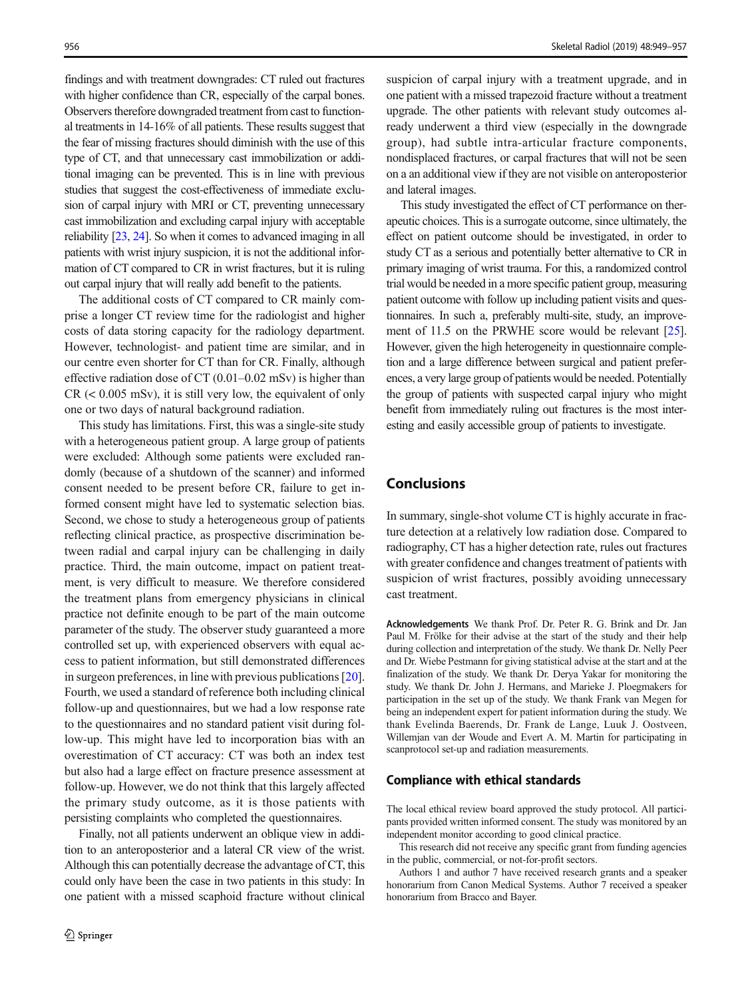findings and with treatment downgrades: CT ruled out fractures with higher confidence than CR, especially of the carpal bones. Observers therefore downgraded treatment from cast to functional treatments in 14-16% of all patients. These results suggest that the fear of missing fractures should diminish with the use of this type of CT, and that unnecessary cast immobilization or additional imaging can be prevented. This is in line with previous studies that suggest the cost-effectiveness of immediate exclusion of carpal injury with MRI or CT, preventing unnecessary cast immobilization and excluding carpal injury with acceptable reliability [\[23,](#page-8-0) [24\]](#page-8-0). So when it comes to advanced imaging in all patients with wrist injury suspicion, it is not the additional information of CT compared to CR in wrist fractures, but it is ruling out carpal injury that will really add benefit to the patients.

The additional costs of CT compared to CR mainly comprise a longer CT review time for the radiologist and higher costs of data storing capacity for the radiology department. However, technologist- and patient time are similar, and in our centre even shorter for CT than for CR. Finally, although effective radiation dose of CT (0.01–0.02 mSv) is higher than  $CR$  ( $< 0.005$  mSv), it is still very low, the equivalent of only one or two days of natural background radiation.

This study has limitations. First, this was a single-site study with a heterogeneous patient group. A large group of patients were excluded: Although some patients were excluded randomly (because of a shutdown of the scanner) and informed consent needed to be present before CR, failure to get informed consent might have led to systematic selection bias. Second, we chose to study a heterogeneous group of patients reflecting clinical practice, as prospective discrimination between radial and carpal injury can be challenging in daily practice. Third, the main outcome, impact on patient treatment, is very difficult to measure. We therefore considered the treatment plans from emergency physicians in clinical practice not definite enough to be part of the main outcome parameter of the study. The observer study guaranteed a more controlled set up, with experienced observers with equal access to patient information, but still demonstrated differences in surgeon preferences, in line with previous publications [[20\]](#page-8-0). Fourth, we used a standard of reference both including clinical follow-up and questionnaires, but we had a low response rate to the questionnaires and no standard patient visit during follow-up. This might have led to incorporation bias with an overestimation of CT accuracy: CT was both an index test but also had a large effect on fracture presence assessment at follow-up. However, we do not think that this largely affected the primary study outcome, as it is those patients with persisting complaints who completed the questionnaires.

Finally, not all patients underwent an oblique view in addition to an anteroposterior and a lateral CR view of the wrist. Although this can potentially decrease the advantage of CT, this could only have been the case in two patients in this study: In one patient with a missed scaphoid fracture without clinical

suspicion of carpal injury with a treatment upgrade, and in one patient with a missed trapezoid fracture without a treatment upgrade. The other patients with relevant study outcomes already underwent a third view (especially in the downgrade group), had subtle intra-articular fracture components, nondisplaced fractures, or carpal fractures that will not be seen on a an additional view if they are not visible on anteroposterior and lateral images.

This study investigated the effect of CT performance on therapeutic choices. This is a surrogate outcome, since ultimately, the effect on patient outcome should be investigated, in order to study CT as a serious and potentially better alternative to CR in primary imaging of wrist trauma. For this, a randomized control trial would be needed in a more specific patient group, measuring patient outcome with follow up including patient visits and questionnaires. In such a, preferably multi-site, study, an improvement of 11.5 on the PRWHE score would be relevant [\[25\]](#page-8-0). However, given the high heterogeneity in questionnaire completion and a large difference between surgical and patient preferences, a very large group of patients would be needed. Potentially the group of patients with suspected carpal injury who might benefit from immediately ruling out fractures is the most interesting and easily accessible group of patients to investigate.

# Conclusions

In summary, single-shot volume CT is highly accurate in fracture detection at a relatively low radiation dose. Compared to radiography, CT has a higher detection rate, rules out fractures with greater confidence and changes treatment of patients with suspicion of wrist fractures, possibly avoiding unnecessary cast treatment.

Acknowledgements We thank Prof. Dr. Peter R. G. Brink and Dr. Jan Paul M. Frölke for their advise at the start of the study and their help during collection and interpretation of the study. We thank Dr. Nelly Peer and Dr. Wiebe Pestmann for giving statistical advise at the start and at the finalization of the study. We thank Dr. Derya Yakar for monitoring the study. We thank Dr. John J. Hermans, and Marieke J. Ploegmakers for participation in the set up of the study. We thank Frank van Megen for being an independent expert for patient information during the study. We thank Evelinda Baerends, Dr. Frank de Lange, Luuk J. Oostveen, Willemjan van der Woude and Evert A. M. Martin for participating in scanprotocol set-up and radiation measurements.

#### Compliance with ethical standards

The local ethical review board approved the study protocol. All participants provided written informed consent. The study was monitored by an independent monitor according to good clinical practice.

This research did not receive any specific grant from funding agencies in the public, commercial, or not-for-profit sectors.

Authors 1 and author 7 have received research grants and a speaker honorarium from Canon Medical Systems. Author 7 received a speaker honorarium from Bracco and Bayer.